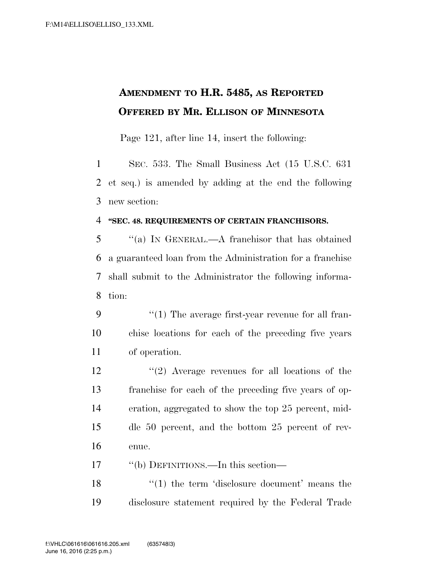## **AMENDMENT TO H.R. 5485, AS REPORTED OFFERED BY MR. ELLISON OF MINNESOTA**

Page 121, after line 14, insert the following:

 SEC. 533. The Small Business Act (15 U.S.C. 631 et seq.) is amended by adding at the end the following new section:

## **''SEC. 48. REQUIREMENTS OF CERTAIN FRANCHISORS.**

 ''(a) IN GENERAL.—A franchisor that has obtained a guaranteed loan from the Administration for a franchise shall submit to the Administrator the following informa-tion:

- 9  $\frac{u(1)}{1}$  The average first-year revenue for all fran- chise locations for each of the preceding five years of operation.
- ''(2) Average revenues for all locations of the franchise for each of the preceding five years of op- eration, aggregated to show the top 25 percent, mid- dle 50 percent, and the bottom 25 percent of rev-enue.

''(b) DEFINITIONS.—In this section—

18 ''(1) the term 'disclosure document' means the disclosure statement required by the Federal Trade